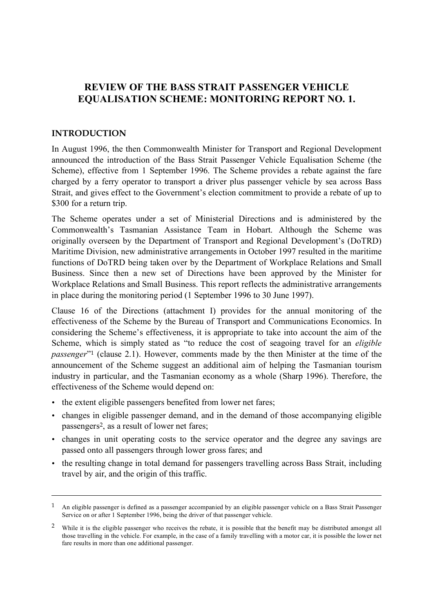## **REVIEW OF THE BASS STRAIT PASSENGER VEHICLE EQUALISATION SCHEME: MONITORING REPORT NO. 1.**

#### **INTRODUCTION**

 $\overline{a}$ 

In August 1996, the then Commonwealth Minister for Transport and Regional Development announced the introduction of the Bass Strait Passenger Vehicle Equalisation Scheme (the Scheme), effective from 1 September 1996. The Scheme provides a rebate against the fare charged by a ferry operator to transport a driver plus passenger vehicle by sea across Bass Strait, and gives effect to the Government's election commitment to provide a rebate of up to \$300 for a return trip.

The Scheme operates under a set of Ministerial Directions and is administered by the Commonwealth's Tasmanian Assistance Team in Hobart. Although the Scheme was originally overseen by the Department of Transport and Regional Development's (DoTRD) Maritime Division, new administrative arrangements in October 1997 resulted in the maritime functions of DoTRD being taken over by the Department of Workplace Relations and Small Business. Since then a new set of Directions have been approved by the Minister for Workplace Relations and Small Business. This report reflects the administrative arrangements in place during the monitoring period (1 September 1996 to 30 June 1997).

Clause 16 of the Directions (attachment I) provides for the annual monitoring of the effectiveness of the Scheme by the Bureau of Transport and Communications Economics. In considering the Scheme's effectiveness, it is appropriate to take into account the aim of the Scheme, which is simply stated as "to reduce the cost of seagoing travel for an *eligible passenger*<sup>"1</sup> (clause 2.1). However, comments made by the then Minister at the time of the announcement of the Scheme suggest an additional aim of helping the Tasmanian tourism industry in particular, and the Tasmanian economy as a whole (Sharp 1996). Therefore, the effectiveness of the Scheme would depend on:

- the extent eligible passengers benefited from lower net fares;
- changes in eligible passenger demand, and in the demand of those accompanying eligible passengers2, as a result of lower net fares;
- changes in unit operating costs to the service operator and the degree any savings are passed onto all passengers through lower gross fares; and
- the resulting change in total demand for passengers travelling across Bass Strait, including travel by air, and the origin of this traffic.

 $1$  An eligible passenger is defined as a passenger accompanied by an eligible passenger vehicle on a Bass Strait Passenger Service on or after 1 September 1996, being the driver of that passenger vehicle.

<sup>&</sup>lt;sup>2</sup> While it is the eligible passenger who receives the rebate, it is possible that the benefit may be distributed amongst all those travelling in the vehicle. For example, in the case of a family travelling with a motor car, it is possible the lower net fare results in more than one additional passenger.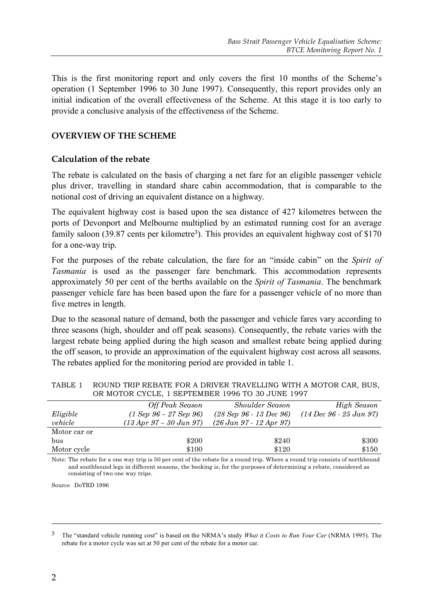This is the first monitoring report and only covers the first 10 months of the Scheme's operation (1 September 1996 to 30 June 1997). Consequently, this report provides only an initial indication of the overall effectiveness of the Scheme. At this stage it is too early to provide a conclusive analysis of the effectiveness of the Scheme.

## **OVERVIEW OF THE SCHEME**

#### **Calculation of the rebate**

The rebate is calculated on the basis of charging a net fare for an eligible passenger vehicle plus driver, travelling in standard share cabin accommodation, that is comparable to the notional cost of driving an equivalent distance on a highway.

The equivalent highway cost is based upon the sea distance of 427 kilometres between the ports of Devonport and Melbourne multiplied by an estimated running cost for an average family saloon (39.87 cents per kilometre<sup>3</sup>). This provides an equivalent highway cost of \$170 for a one-way trip.

For the purposes of the rebate calculation, the fare for an "inside cabin" on the *Spirit of Tasmania* is used as the passenger fare benchmark. This accommodation represents approximately 50 per cent of the berths available on the *Spirit of Tasmania*. The benchmark passenger vehicle fare has been based upon the fare for a passenger vehicle of no more than five metres in length.

Due to the seasonal nature of demand, both the passenger and vehicle fares vary according to three seasons (high, shoulder and off peak seasons). Consequently, the rebate varies with the largest rebate being applied during the high season and smallest rebate being applied during the off season, to provide an approximation of the equivalent highway cost across all seasons. The rebates applied for the monitoring period are provided in table 1.

|              | Off Peak Season                       | <b>Shoulder Season</b>    | High Season                                 |
|--------------|---------------------------------------|---------------------------|---------------------------------------------|
| Eligible     | $(1 Sep 96 - 27 Sep 96)$              | $(28$ Sep 96 - 13 Dec 96) | $(14 \text{ Dec } 96 - 25 \text{ Jan } 97)$ |
| vehicle      | $(13 \, Apr \, 97 - 30 \, Jun \, 97)$ | $(26 Jan 97 - 12 Apr 97)$ |                                             |
| Motor car or |                                       |                           |                                             |
| bus          | \$200                                 | \$240                     | \$300                                       |
| Motor cycle  | \$100                                 | \$120                     | \$150                                       |

| TABLE 1     ROUND TRIP REBATE FOR A DRIVER TRAVELLING WITH A MOTOR CAR, BUS, |
|------------------------------------------------------------------------------|
| OR MOTOR CYCLE, 1 SEPTEMBER 1996 TO 30 JUNE 1997                             |

Note: The rebate for a one way trip is 50 per cent of the rebate for a round trip. Where a round trip consists of northbound and southbound legs in different seasons, the booking is, for the purposes of determining a rebate, considered as consisting of two one way trips.

Source DoTRD 1996

<sup>3</sup> The "standard vehicle running cost" is based on the NRMA's study *What it Costs to Run Your Car* (NRMA 1995). The rebate for a motor cycle was set at 50 per cent of the rebate for a motor car.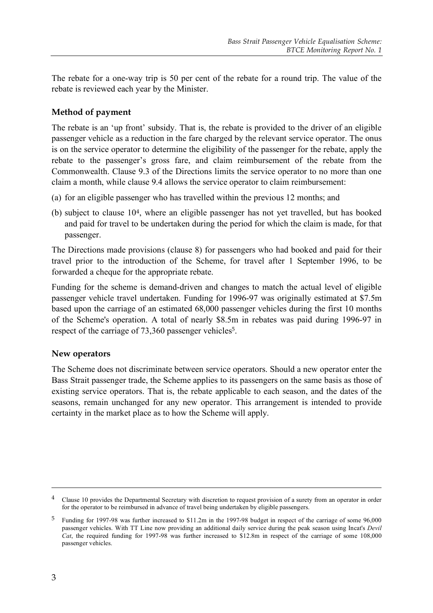The rebate for a one-way trip is 50 per cent of the rebate for a round trip. The value of the rebate is reviewed each year by the Minister.

## **Method of payment**

The rebate is an 'up front' subsidy. That is, the rebate is provided to the driver of an eligible passenger vehicle as a reduction in the fare charged by the relevant service operator. The onus is on the service operator to determine the eligibility of the passenger for the rebate, apply the rebate to the passenger's gross fare, and claim reimbursement of the rebate from the Commonwealth. Clause 9.3 of the Directions limits the service operator to no more than one claim a month, while clause 9.4 allows the service operator to claim reimbursement:

- (a) for an eligible passenger who has travelled within the previous 12 months; and
- (b) subject to clause 104, where an eligible passenger has not yet travelled, but has booked and paid for travel to be undertaken during the period for which the claim is made, for that passenger.

The Directions made provisions (clause 8) for passengers who had booked and paid for their travel prior to the introduction of the Scheme, for travel after 1 September 1996, to be forwarded a cheque for the appropriate rebate.

Funding for the scheme is demand-driven and changes to match the actual level of eligible passenger vehicle travel undertaken. Funding for 1996-97 was originally estimated at \$7.5m based upon the carriage of an estimated 68,000 passenger vehicles during the first 10 months of the Scheme's operation. A total of nearly \$8.5m in rebates was paid during 1996-97 in respect of the carriage of 73,360 passenger vehicles<sup>5</sup>.

### **New operators**

The Scheme does not discriminate between service operators. Should a new operator enter the Bass Strait passenger trade, the Scheme applies to its passengers on the same basis as those of existing service operators. That is, the rebate applicable to each season, and the dates of the seasons, remain unchanged for any new operator. This arrangement is intended to provide certainty in the market place as to how the Scheme will apply.

<sup>&</sup>lt;sup>4</sup> Clause 10 provides the Departmental Secretary with discretion to request provision of a surety from an operator in order for the operator to be reimbursed in advance of travel being undertaken by eligible passengers.

<sup>5</sup> Funding for 1997-98 was further increased to \$11.2m in the 1997-98 budget in respect of the carriage of some 96,000 passenger vehicles. With TT Line now providing an additional daily service during the peak season using Incat's *Devil Cat*, the required funding for 1997-98 was further increased to \$12.8m in respect of the carriage of some 108,000 passenger vehicles.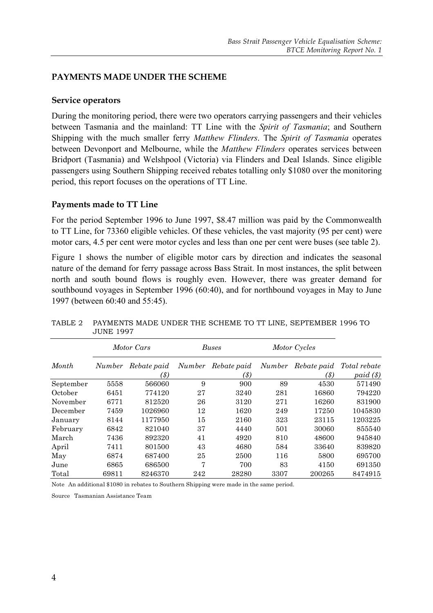## **PAYMENTS MADE UNDER THE SCHEME**

#### **Service operators**

During the monitoring period, there were two operators carrying passengers and their vehicles between Tasmania and the mainland: TT Line with the *Spirit of Tasmania*; and Southern Shipping with the much smaller ferry *Matthew Flinders*. The *Spirit of Tasmania* operates between Devonport and Melbourne, while the *Matthew Flinders* operates services between Bridport (Tasmania) and Welshpool (Victoria) via Flinders and Deal Islands. Since eligible passengers using Southern Shipping received rebates totalling only \$1080 over the monitoring period, this report focuses on the operations of TT Line.

#### **Payments made to TT Line**

For the period September 1996 to June 1997, \$8.47 million was paid by the Commonwealth to TT Line, for 73360 eligible vehicles. Of these vehicles, the vast majority (95 per cent) were motor cars, 4.5 per cent were motor cycles and less than one per cent were buses (see table 2).

Figure 1 shows the number of eligible motor cars by direction and indicates the seasonal nature of the demand for ferry passage across Bass Strait. In most instances, the split between north and south bound flows is roughly even. However, there was greater demand for southbound voyages in September 1996 (60:40), and for northbound voyages in May to June 1997 (between 60:40 and 55:45).

|           |        | Motor Cars          |               | <b>Buses</b>        |               | Motor Cycles        |                         |
|-----------|--------|---------------------|---------------|---------------------|---------------|---------------------|-------------------------|
| Month     | Number | Rebate paid<br>(\$) | <i>Number</i> | Rebate paid<br>(\$) | <b>Number</b> | Rebate paid<br>(\$) | Total rebate<br>paid(s) |
| September | 5558   | 566060              | 9             | 900                 | 89            | 4530                | 571490                  |
| October   | 6451   | 774120              | 27            | 3240                | 281           | 16860               | 794220                  |
| November  | 6771   | 812520              | 26            | 3120                | 271           | 16260               | 831900                  |
| December  | 7459   | 1026960             | 12            | 1620                | 249           | 17250               | 1045830                 |
| January   | 8144   | 1177950             | 15            | 2160                | 323           | 23115               | 1203225                 |
| February  | 6842   | 821040              | 37            | 4440                | 501           | 30060               | 855540                  |
| March     | 7436   | 892320              | 41            | 4920                | 810           | 48600               | 945840                  |
| April     | 7411   | 801500              | 43            | 4680                | 584           | 33640               | 839820                  |
| May       | 6874   | 687400              | 25            | 2500                | 116           | 5800                | 695700                  |
| June      | 6865   | 686500              | 7             | 700                 | 83            | 4150                | 691350                  |
| Total     | 69811  | 8246370             | 242           | 28280               | 3307          | 200265              | 8474915                 |

TABLE 2 PAYMENTS MADE UNDER THE SCHEME TO TT LINE, SEPTEMBER 1996 TO JUNE 1997

Note An additional \$1080 in rebates to Southern Shipping were made in the same period.

Source Tasmanian Assistance Team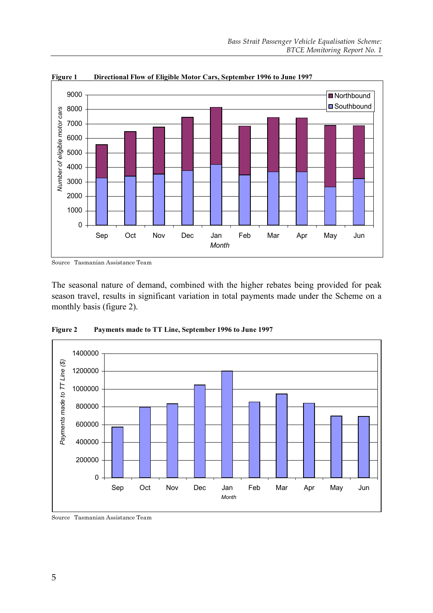

**Figure 1 Directional Flow of Eligible Motor Cars, September 1996 to June 1997**

Source Tasmanian Assistance Team

The seasonal nature of demand, combined with the higher rebates being provided for peak season travel, results in significant variation in total payments made under the Scheme on a monthly basis (figure 2).



**Figure 2 Payments made to TT Line, September 1996 to June 1997**

Source Tasmanian Assistance Team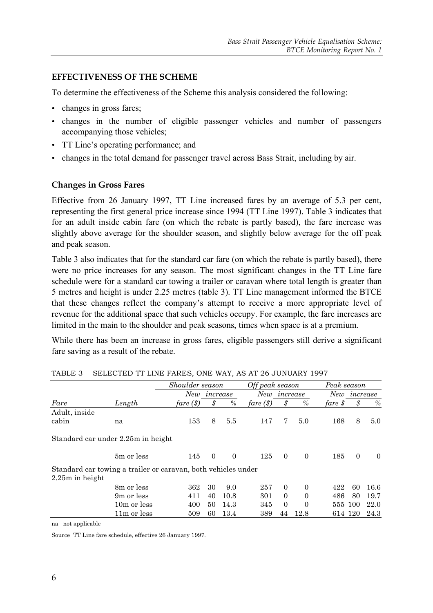## **EFFECTIVENESS OF THE SCHEME**

To determine the effectiveness of the Scheme this analysis considered the following:

- changes in gross fares;
- changes in the number of eligible passenger vehicles and number of passengers accompanying those vehicles;
- TT Line's operating performance; and
- changes in the total demand for passenger travel across Bass Strait, including by air.

### **Changes in Gross Fares**

Effective from 26 January 1997, TT Line increased fares by an average of 5.3 per cent, representing the first general price increase since 1994 (TT Line 1997). Table 3 indicates that for an adult inside cabin fare (on which the rebate is partly based), the fare increase was slightly above average for the shoulder season, and slightly below average for the off peak and peak season.

Table 3 also indicates that for the standard car fare (on which the rebate is partly based), there were no price increases for any season. The most significant changes in the TT Line fare schedule were for a standard car towing a trailer or caravan where total length is greater than 5 metres and height is under 2.25 metres (table 3). TT Line management informed the BTCE that these changes reflect the company's attempt to receive a more appropriate level of revenue for the additional space that such vehicles occupy. For example, the fare increases are limited in the main to the shoulder and peak seasons, times when space is at a premium.

While there has been an increase in gross fares, eligible passengers still derive a significant fare saving as a result of the rebate.

|                   |                                                               | Shoulder season<br>New<br>increase |          |               | Off peak season<br>New<br>increase |          |                | Peak season     |          |          |
|-------------------|---------------------------------------------------------------|------------------------------------|----------|---------------|------------------------------------|----------|----------------|-----------------|----------|----------|
|                   |                                                               |                                    |          |               |                                    |          |                | New<br>increase |          |          |
| Fare              | Length                                                        | fare (\$)                          |          | $\frac{0}{0}$ | fare (\$)                          |          | $\%$           | fare $\oint$    | \$       | $\%$     |
| Adult, inside     |                                                               |                                    |          |               |                                    |          |                |                 |          |          |
| cabin             | na                                                            | 153                                | 8        | 5.5           | 147                                | 7        | 5.0            | 168             | 8        | 5.0      |
|                   | Standard car under 2.25m in height                            |                                    |          |               |                                    |          |                |                 |          |          |
|                   | 5m or less                                                    | 145                                | $\Omega$ | $\Omega$      | 125                                | $\theta$ | $\overline{0}$ | 185             | $\Omega$ | $\left($ |
|                   | Standard car towing a trailer or caravan, both vehicles under |                                    |          |               |                                    |          |                |                 |          |          |
| $2.25m$ in height |                                                               |                                    |          |               |                                    |          |                |                 |          |          |
|                   | 8m or less                                                    | 362                                | 30       | 9.0           | 257                                | $\Omega$ | $\overline{0}$ | 422             | 60       | 16.6     |
|                   | 9 <sub>m</sub> or less                                        | 411                                | 40       | 10.8          | 301                                | $\Omega$ | $\Omega$       | 486             | 80       | 19.7     |
|                   | 10 <sub>m</sub> or less                                       | 400                                | 50       | 14.3          | 345                                | $\Omega$ | $\Omega$       | 555             | 100      | 22.0     |
|                   | 11m or less                                                   | 509                                | 60       | 13.4          | 389                                | 44       | 12.8           |                 | 614 120  | 24.3     |

|  |  | TABLE 3 SELECTED TT LINE FARES, ONE WAY, AS AT 26 JUNUARY 1997 |  |  |  |  |
|--|--|----------------------------------------------------------------|--|--|--|--|
|--|--|----------------------------------------------------------------|--|--|--|--|

na not applicable

Source TT Line fare schedule, effective 26 January 1997.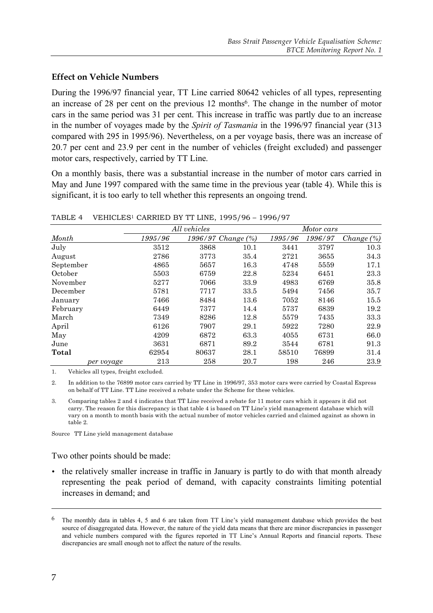## **Effect on Vehicle Numbers**

During the 1996/97 financial year, TT Line carried 80642 vehicles of all types, representing an increase of 28 per cent on the previous 12 months<sup>6</sup>. The change in the number of motor cars in the same period was 31 per cent. This increase in traffic was partly due to an increase in the number of voyages made by the *Spirit of Tasmania* in the 1996/97 financial year (313 compared with 295 in 1995/96). Nevertheless, on a per voyage basis, there was an increase of 20.7 per cent and 23.9 per cent in the number of vehicles (freight excluded) and passenger motor cars, respectively, carried by TT Line.

On a monthly basis, there was a substantial increase in the number of motor cars carried in May and June 1997 compared with the same time in the previous year (table 4). While this is significant, it is too early to tell whether this represents an ongoing trend.

|            |         | All vehicles |                    |         | Motor cars |            |
|------------|---------|--------------|--------------------|---------|------------|------------|
| Month      | 1995/96 |              | 1996/97 Change (%) | 1995/96 | 1996/97    | Change (%) |
| July       | 3512    | 3868         | 10.1               | 3441    | 3797       | 10.3       |
| August     | 2786    | 3773         | 35.4               | 2721    | 3655       | 34.3       |
| September  | 4865    | 5657         | 16.3               | 4748    | 5559       | 17.1       |
| October    | 5503    | 6759         | 22.8               | 5234    | 6451       | 23.3       |
| November   | 5277    | 7066         | 33.9               | 4983    | 6769       | 35.8       |
| December   | 5781    | 7717         | 33.5               | 5494    | 7456       | 35.7       |
| January    | 7466    | 8484         | 13.6               | 7052    | 8146       | 15.5       |
| February   | 6449    | 7377         | 14.4               | 5737    | 6839       | 19.2       |
| March      | 7349    | 8286         | 12.8               | 5579    | 7435       | 33.3       |
| April      | 6126    | 7907         | 29.1               | 5922    | 7280       | 22.9       |
| May        | 4209    | 6872         | 63.3               | 4055    | 6731       | 66.0       |
| June       | 3631    | 6871         | 89.2               | 3544    | 6781       | 91.3       |
| Total      | 62954   | 80637        | 28.1               | 58510   | 76899      | 31.4       |
| per voyage | 213     | 258          | 20.7               | 198     | 246        | 23.9       |

TABLE 4 VEHICLES1 CARRIED BY TT LINE, 1995/96 – 1996/97

1. Vehicles all types, freight excluded.

2. In addition to the 76899 motor cars carried by TT Line in 1996/97, 353 motor cars were carried by Coastal Express on behalf of TT Line. TT Line received a rebate under the Scheme for these vehicles.

3. Comparing tables 2 and 4 indicates that TT Line received a rebate for 11 motor cars which it appears it did not carry. The reason for this discrepancy is that table 4 is based on TT Line's yield management database which will vary on a month to month basis with the actual number of motor vehicles carried and claimed against as shown in table 2.

Source TT Line yield management database

Two other points should be made:

• the relatively smaller increase in traffic in January is partly to do with that month already representing the peak period of demand, with capacity constraints limiting potential increases in demand; and

<sup>6</sup> The monthly data in tables 4, 5 and 6 are taken from TT Line's yield management database which provides the best source of disaggregated data. However, the nature of the yield data means that there are minor discrepancies in passenger and vehicle numbers compared with the figures reported in TT Line's Annual Reports and financial reports. These discrepancies are small enough not to affect the nature of the results.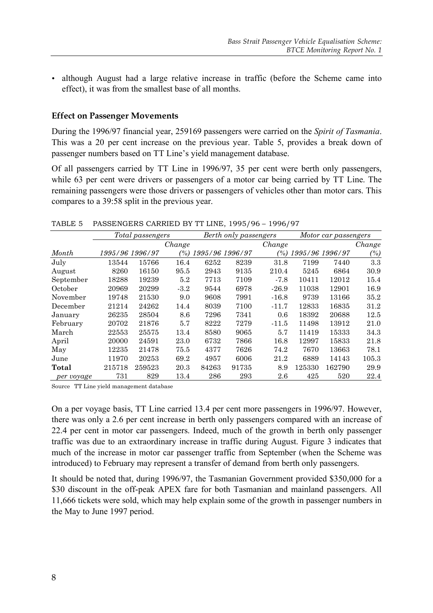• although August had a large relative increase in traffic (before the Scheme came into effect), it was from the smallest base of all months.

#### **Effect on Passenger Movements**

During the 1996/97 financial year, 259169 passengers were carried on the *Spirit of Tasmania*. This was a 20 per cent increase on the previous year. Table 5, provides a break down of passenger numbers based on TT Line's yield management database.

Of all passengers carried by TT Line in 1996/97, 35 per cent were berth only passengers, while 63 per cent were drivers or passengers of a motor car being carried by TT Line. The remaining passengers were those drivers or passengers of vehicles other than motor cars. This compares to a 39:58 split in the previous year.

|            |        | Total passengers |        |                        | Berth only passengers |         |                        | Motor car passengers |        |
|------------|--------|------------------|--------|------------------------|-----------------------|---------|------------------------|----------------------|--------|
|            |        |                  | Change |                        |                       | Change  |                        |                      | Change |
| Month      |        | 1995/96 1996/97  |        | $(\%)$ 1995/96 1996/97 |                       |         | $(\%)$ 1995/96 1996/97 |                      | $(\%)$ |
| July       | 13544  | 15766            | 16.4   | 6252                   | 8239                  | 31.8    | 7199                   | 7440                 | 3.3    |
| August     | 8260   | 16150            | 95.5   | 2943                   | 9135                  | 210.4   | 5245                   | 6864                 | 30.9   |
| September  | 18288  | 19239            | 5.2    | 7713                   | 7109                  | $-7.8$  | 10411                  | 12012                | 15.4   |
| October    | 20969  | 20299            | $-3.2$ | 9544                   | 6978                  | $-26.9$ | 11038                  | 12901                | 16.9   |
| November   | 19748  | 21530            | 9.0    | 9608                   | 7991                  | $-16.8$ | 9739                   | 13166                | 35.2   |
| December   | 21214  | 24262            | 14.4   | 8039                   | 7100                  | $-11.7$ | 12833                  | 16835                | 31.2   |
| January    | 26235  | 28504            | 8.6    | 7296                   | 7341                  | 0.6     | 18392                  | 20688                | 12.5   |
| February   | 20702  | 21876            | 5.7    | 8222                   | 7279                  | $-11.5$ | 11498                  | 13912                | 21.0   |
| March      | 22553  | 25575            | 13.4   | 8580                   | 9065                  | 5.7     | 11419                  | 15333                | 34.3   |
| April      | 20000  | 24591            | 23.0   | 6732                   | 7866                  | 16.8    | 12997                  | 15833                | 21.8   |
| May        | 12235  | 21478            | 75.5   | 4377                   | 7626                  | 74.2    | 7670                   | 13663                | 78.1   |
| June       | 11970  | 20253            | 69.2   | 4957                   | 6006                  | 21.2    | 6889                   | 14143                | 105.3  |
| Total      | 215718 | 259523           | 20.3   | 84263                  | 91735                 | 8.9     | 125330                 | 162790               | 29.9   |
| per voyage | 731    | 829              | 13.4   | 286                    | 293                   | 2.6     | 425                    | 520                  | 22.4   |

TABLE 5 PASSENGERS CARRIED BY TT LINE, 1995/96 – 1996/97

Source TT Line yield management database

On a per voyage basis, TT Line carried 13.4 per cent more passengers in 1996/97. However, there was only a 2.6 per cent increase in berth only passengers compared with an increase of 22.4 per cent in motor car passengers. Indeed, much of the growth in berth only passenger traffic was due to an extraordinary increase in traffic during August. Figure 3 indicates that much of the increase in motor car passenger traffic from September (when the Scheme was introduced) to February may represent a transfer of demand from berth only passengers.

It should be noted that, during 1996/97, the Tasmanian Government provided \$350,000 for a \$30 discount in the off-peak APEX fare for both Tasmanian and mainland passengers. All 11,666 tickets were sold, which may help explain some of the growth in passenger numbers in the May to June 1997 period.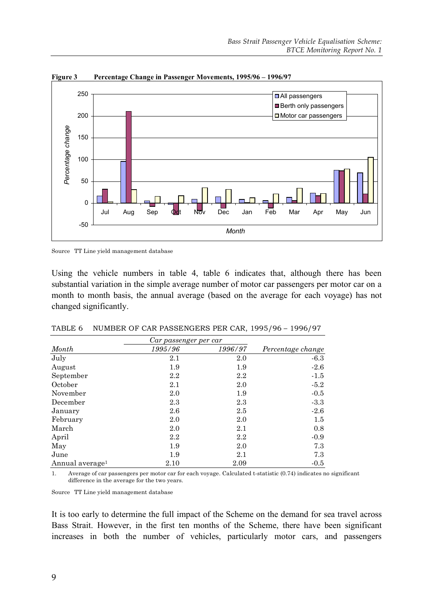

**Figure 3 Percentage Change in Passenger Movements, 1995/96 – 1996/97**

Source TT Line yield management database

Using the vehicle numbers in table 4, table 6 indicates that, although there has been substantial variation in the simple average number of motor car passengers per motor car on a month to month basis, the annual average (based on the average for each voyage) has not changed significantly.

|                             | Car passenger per car |         |                   |
|-----------------------------|-----------------------|---------|-------------------|
| Month                       | 1995/96               | 1996/97 | Percentage change |
| July                        | 2.1                   | 2.0     | $-6.3$            |
| August                      | 1.9                   | 1.9     | $-2.6$            |
| September                   | $2.2\,$               | $2.2\,$ | $-1.5$            |
| October                     | 2.1                   | 2.0     | $-5.2$            |
| November                    | 2.0                   | 1.9     | $-0.5$            |
| December                    | 2.3                   | 2.3     | $-3.3$            |
| January                     | 2.6                   | 2.5     | $-2.6$            |
| February                    | 2.0                   | 2.0     | $1.5\,$           |
| March                       | 2.0                   | 2.1     | 0.8               |
| April                       | 2.2                   | $2.2\,$ | $-0.9$            |
| May                         | 1.9                   | 2.0     | 7.3               |
| June                        | 1.9                   | 2.1     | 7.3               |
| Annual average <sup>1</sup> | 2.10                  | 2.09    | $-0.5$            |

TABLE 6 NUMBER OF CAR PASSENGERS PER CAR, 1995/96 – 1996/97

1. Average of car passengers per motor car for each voyage. Calculated t-statistic (0.74) indicates no significant difference in the average for the two years.

Source TT Line yield management database

It is too early to determine the full impact of the Scheme on the demand for sea travel across Bass Strait. However, in the first ten months of the Scheme, there have been significant increases in both the number of vehicles, particularly motor cars, and passengers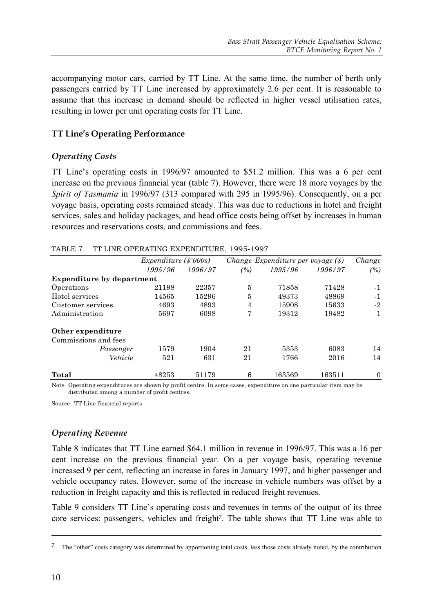accompanying motor cars, carried by TT Line. At the same time, the number of berth only passengers carried by TT Line increased by approximately 2.6 per cent. It is reasonable to assume that this increase in demand should be reflected in higher vessel utilisation rates, resulting in lower per unit operating costs for TT Line.

## **TT Line's Operating Performance**

## *Operating Costs*

TT Line's operating costs in 1996/97 amounted to \$51.2 million. This was a 6 per cent increase on the previous financial year (table 7). However, there were 18 more voyages by the *Spirit of Tasmania* in 1996/97 (313 compared with 295 in 1995/96). Consequently, on a per voyage basis, operating costs remained steady. This was due to reductions in hotel and freight services, sales and holiday packages, and head office costs being offset by increases in human resources and reservations costs, and commissions and fees.

|                                  | <i>Expenditure (\$'000s)</i> |         |                   | Change Expenditure per voyage $(\text{\$})$ |         | Change   |
|----------------------------------|------------------------------|---------|-------------------|---------------------------------------------|---------|----------|
|                                  | 1995/96                      | 1996/97 | $\left(\%\right)$ | 1995/96                                     | 1996/97 | $(\%)$   |
| <b>Expenditure by department</b> |                              |         |                   |                                             |         |          |
| Operations                       | 21198                        | 22357   | 5                 | 71858                                       | 71428   | $-1$     |
| Hotel services                   | 14565                        | 15296   | 5                 | 49373                                       | 48869   | $-1$     |
| Customer services                | 4693                         | 4893    | $\overline{4}$    | 15908                                       | 15633   | -2       |
| Administration                   | 5697                         | 6098    | 7                 | 19312                                       | 19482   | 1        |
| Other expenditure                |                              |         |                   |                                             |         |          |
| Commissions and fees             |                              |         |                   |                                             |         |          |
| Passenger                        | 1579                         | 1904    | 21                | 5353                                        | 6083    | 14       |
| Vehicle                          | 521                          | 631     | 21                | 1766                                        | 2016    | 14       |
| Total                            | 48253                        | 51179   | 6                 | 163569                                      | 163511  | $\Omega$ |

|  | TABLE 7 TT LINE OPERATING EXPENDITURE, 1995-1997 |  |
|--|--------------------------------------------------|--|
|  |                                                  |  |

Note Operating expenditures are shown by profit centre. In some cases, expenditure on one particular item may be distributed among a number of profit centres.

Source TT Line financial reports

## *Operating Revenue*

Table 8 indicates that TT Line earned \$64.1 million in revenue in 1996/97. This was a 16 per cent increase on the previous financial year. On a per voyage basis, operating revenue increased 9 per cent, reflecting an increase in fares in January 1997, and higher passenger and vehicle occupancy rates. However, some of the increase in vehicle numbers was offset by a reduction in freight capacity and this is reflected in reduced freight revenues.

Table 9 considers TT Line's operating costs and revenues in terms of the output of its three core services: passengers, vehicles and freight<sup>7</sup>. The table shows that TT Line was able to

<sup>7</sup> The "other" costs category was determined by apportioning total costs, less those costs already noted, by the contribution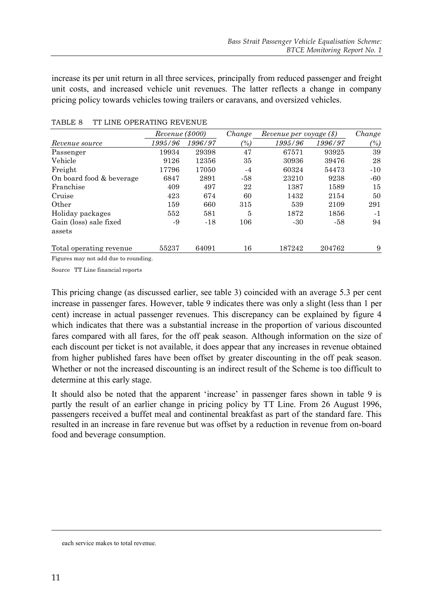increase its per unit return in all three services, principally from reduced passenger and freight unit costs, and increased vehicle unit revenues. The latter reflects a change in company pricing policy towards vehicles towing trailers or caravans, and oversized vehicles.

|                          | Revenue (\$000) |         | Change                          | Revenue per voyage (\$) |         | Change |
|--------------------------|-----------------|---------|---------------------------------|-------------------------|---------|--------|
| Revenue source           | 1995/96         | 1996/97 | $\frac{\gamma_{0}}{\gamma_{0}}$ | 1995/96                 | 1996/97 | $(\%)$ |
| Passenger                | 19934           | 29398   | 47                              | 67571                   | 93925   | 39     |
| Vehicle                  | 9126            | 12356   | 35                              | 30936                   | 39476   | 28     |
| Freight                  | 17796           | 17050   | $-4$                            | 60324                   | 54473   | $-10$  |
| On board food & beverage | 6847            | 2891    | -58                             | 23210                   | 9238    | $-60$  |
| Franchise                | 409             | 497     | 22                              | 1387                    | 1589    | 15     |
| Cruise                   | 423             | 674     | 60                              | 1432                    | 2154    | 50     |
| Other                    | 159             | 660     | 315                             | 539                     | 2109    | 291    |
| Holiday packages         | 552             | 581     | 5                               | 1872                    | 1856    | $-1$   |
| Gain (loss) sale fixed   | -9              | $-18$   | 106                             | $-30$                   | -58     | 94     |
| assets                   |                 |         |                                 |                         |         |        |
| Total operating revenue  | 55237           | 64091   | 16                              | 187242                  | 204762  | 9      |

#### TABLE 8 TT LINE OPERATING REVENUE

Figures may not add due to rounding.

Source TT Line financial reports

This pricing change (as discussed earlier, see table 3) coincided with an average 5.3 per cent increase in passenger fares. However, table 9 indicates there was only a slight (less than 1 per cent) increase in actual passenger revenues. This discrepancy can be explained by figure 4 which indicates that there was a substantial increase in the proportion of various discounted fares compared with all fares, for the off peak season. Although information on the size of each discount per ticket is not available, it does appear that any increases in revenue obtained from higher published fares have been offset by greater discounting in the off peak season. Whether or not the increased discounting is an indirect result of the Scheme is too difficult to determine at this early stage.

It should also be noted that the apparent 'increase' in passenger fares shown in table 9 is partly the result of an earlier change in pricing policy by TT Line. From 26 August 1996, passengers received a buffet meal and continental breakfast as part of the standard fare. This resulted in an increase in fare revenue but was offset by a reduction in revenue from on-board food and beverage consumption.

each service makes to total revenue.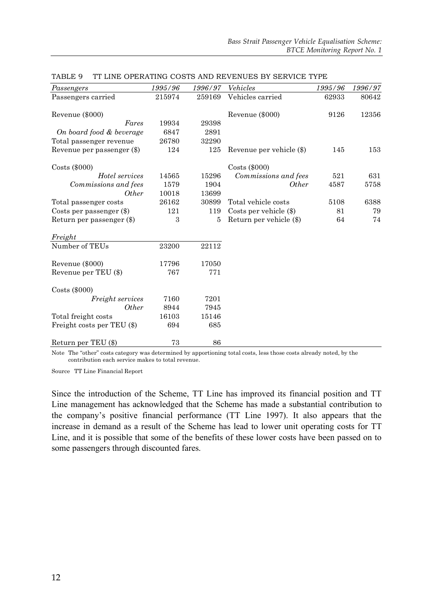| Passengers                 | 1995/96 | 1996/97 | Vehicles                 | 1995/96 | 1996/97 |
|----------------------------|---------|---------|--------------------------|---------|---------|
| Passengers carried         | 215974  | 259169  | Vehicles carried         | 62933   | 80642   |
|                            |         |         |                          |         |         |
| Revenue (\$000)            |         |         | Revenue (\$000)          | 9126    | 12356   |
| Fares                      | 19934   | 29398   |                          |         |         |
| On board food & beverage   | 6847    | 2891    |                          |         |         |
| Total passenger revenue    | 26780   | 32290   |                          |         |         |
| Revenue per passenger (\$) | 124     | 125     | Revenue per vehicle (\$) | 145     | 153     |
| $\text{Costs}$ (\$000)     |         |         | $\text{Costs}$ (\$000)   |         |         |
| Hotel services             | 14565   | 15296   | Commissions and fees     | 521     | 631     |
| Commissions and fees       | 1579    | 1904    | <i>Other</i>             | 4587    | 5758    |
| <i>Other</i>               | 10018   | 13699   |                          |         |         |
| Total passenger costs      | 26162   | 30899   | Total vehicle costs      | 5108    | 6388    |
| Costs per passenger $(\$)$ | 121     | 119     | Costs per vehicle $(\$)$ | 81      | 79      |
| Return per passenger (\$)  | 3       | 5       | Return per vehicle (\$)  | 64      | 74      |
| Freight                    |         |         |                          |         |         |
| Number of TEUs             | 23200   | 22112   |                          |         |         |
| Revenue (\$000)            | 17796   | 17050   |                          |         |         |
| Revenue per TEU (\$)       | 767     | 771     |                          |         |         |
| $\text{Costs}$ (\$000)     |         |         |                          |         |         |
| Freight services           | 7160    | 7201    |                          |         |         |
| <i>Other</i>               | 8944    | 7945    |                          |         |         |
| Total freight costs        | 16103   | 15146   |                          |         |         |
| Freight costs per TEU (\$) | 694     | 685     |                          |         |         |
| Return per TEU (\$)        | 73      | 86      |                          |         |         |

|  | TABLE 9 TT LINE OPERATING COSTS AND REVENUES BY SERVICE TYPE |  |  |  |
|--|--------------------------------------------------------------|--|--|--|
|  |                                                              |  |  |  |

Note The "other" costs category was determined by apportioning total costs, less those costs already noted, by the contribution each service makes to total revenue.

Source TT Line Financial Report

Since the introduction of the Scheme, TT Line has improved its financial position and TT Line management has acknowledged that the Scheme has made a substantial contribution to the company's positive financial performance (TT Line 1997). It also appears that the increase in demand as a result of the Scheme has lead to lower unit operating costs for TT Line, and it is possible that some of the benefits of these lower costs have been passed on to some passengers through discounted fares.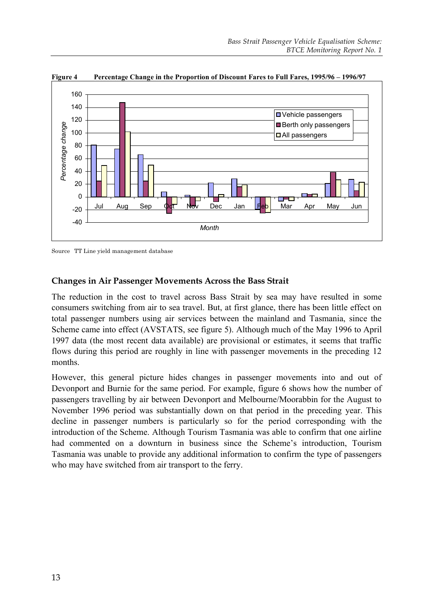

**Figure 4 Percentage Change in the Proportion of Discount Fares to Full Fares, 1995/96 – 1996/97**

Source TT Line yield management database

## **Changes in Air Passenger Movements Across the Bass Strait**

The reduction in the cost to travel across Bass Strait by sea may have resulted in some consumers switching from air to sea travel. But, at first glance, there has been little effect on total passenger numbers using air services between the mainland and Tasmania, since the Scheme came into effect (AVSTATS, see figure 5). Although much of the May 1996 to April 1997 data (the most recent data available) are provisional or estimates, it seems that traffic flows during this period are roughly in line with passenger movements in the preceding 12 months.

However, this general picture hides changes in passenger movements into and out of Devonport and Burnie for the same period. For example, figure 6 shows how the number of passengers travelling by air between Devonport and Melbourne/Moorabbin for the August to November 1996 period was substantially down on that period in the preceding year. This decline in passenger numbers is particularly so for the period corresponding with the introduction of the Scheme. Although Tourism Tasmania was able to confirm that one airline had commented on a downturn in business since the Scheme's introduction, Tourism Tasmania was unable to provide any additional information to confirm the type of passengers who may have switched from air transport to the ferry.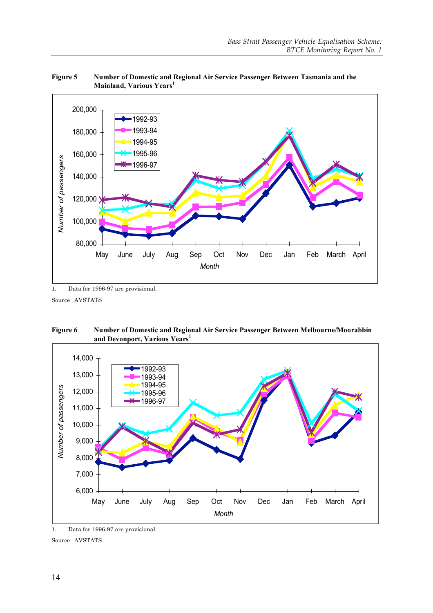

**Figure 5 Number of Domestic and Regional Air Service Passenger Between Tasmania and the Mainland, Various Years 1**

Source AVSTATS





<sup>1.</sup> Data for 1996-97 are provisional.

Source AVSTATS

<sup>1.</sup> Data for 1996-97 are provisional.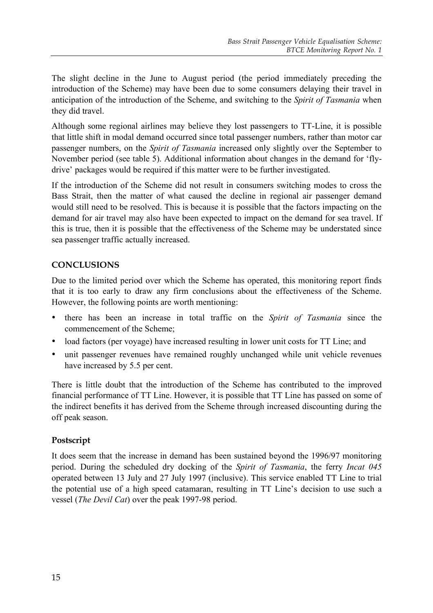The slight decline in the June to August period (the period immediately preceding the introduction of the Scheme) may have been due to some consumers delaying their travel in anticipation of the introduction of the Scheme, and switching to the *Spirit of Tasmania* when they did travel.

Although some regional airlines may believe they lost passengers to TT-Line, it is possible that little shift in modal demand occurred since total passenger numbers, rather than motor car passenger numbers, on the *Spirit of Tasmania* increased only slightly over the September to November period (see table 5). Additional information about changes in the demand for 'flydrive' packages would be required if this matter were to be further investigated.

If the introduction of the Scheme did not result in consumers switching modes to cross the Bass Strait, then the matter of what caused the decline in regional air passenger demand would still need to be resolved. This is because it is possible that the factors impacting on the demand for air travel may also have been expected to impact on the demand for sea travel. If this is true, then it is possible that the effectiveness of the Scheme may be understated since sea passenger traffic actually increased.

## **CONCLUSIONS**

Due to the limited period over which the Scheme has operated, this monitoring report finds that it is too early to draw any firm conclusions about the effectiveness of the Scheme. However, the following points are worth mentioning:

- there has been an increase in total traffic on the *Spirit of Tasmania* since the commencement of the Scheme;
- load factors (per voyage) have increased resulting in lower unit costs for TT Line; and
- unit passenger revenues have remained roughly unchanged while unit vehicle revenues have increased by 5.5 per cent.

There is little doubt that the introduction of the Scheme has contributed to the improved financial performance of TT Line. However, it is possible that TT Line has passed on some of the indirect benefits it has derived from the Scheme through increased discounting during the off peak season.

## **Postscript**

It does seem that the increase in demand has been sustained beyond the 1996/97 monitoring period. During the scheduled dry docking of the *Spirit of Tasmania*, the ferry *Incat 045* operated between 13 July and 27 July 1997 (inclusive). This service enabled TT Line to trial the potential use of a high speed catamaran, resulting in TT Line's decision to use such a vessel (*The Devil Cat*) over the peak 1997-98 period.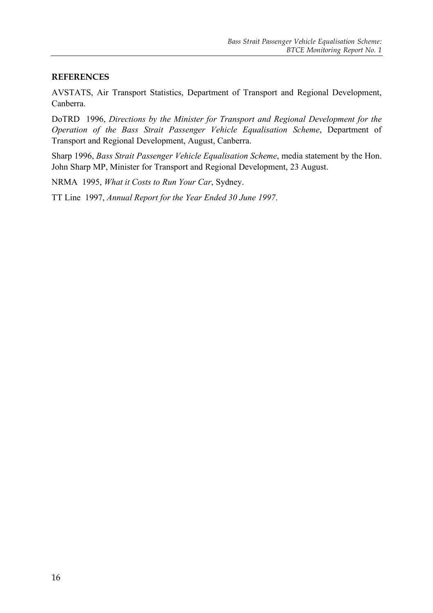## **REFERENCES**

AVSTATS, Air Transport Statistics, Department of Transport and Regional Development, Canberra.

DoTRD 1996, *Directions by the Minister for Transport and Regional Development for the Operation of the Bass Strait Passenger Vehicle Equalisation Scheme*, Department of Transport and Regional Development, August, Canberra.

Sharp 1996, *Bass Strait Passenger Vehicle Equalisation Scheme*, media statement by the Hon. John Sharp MP, Minister for Transport and Regional Development, 23 August.

NRMA 1995, *What it Costs to Run Your Car*, Sydney.

TT Line 1997, *Annual Report for the Year Ended 30 June 1997*.